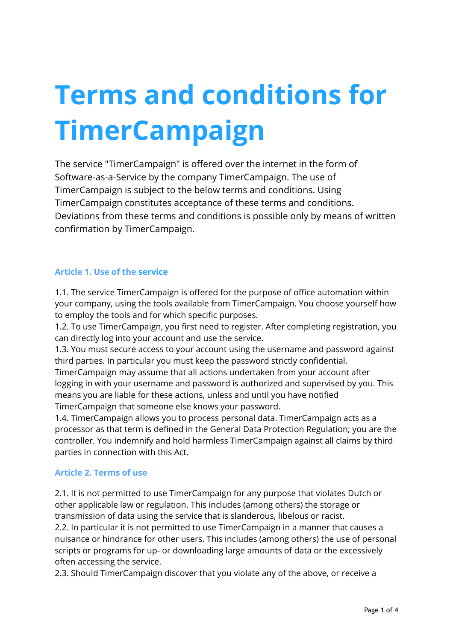# **Terms and conditions for TimerCampaign**

The service "TimerCampaign" is offered over the internet in the form of Software-as-a-Service by the company TimerCampaign. The use of TimerCampaign is subject to the below terms and conditions. Using TimerCampaign constitutes acceptance of these terms and conditions. Deviations from these terms and conditions is possible only by means of written confirmation by TimerCampaign.

## **Article 1. Use of the service**

1.1. The service TimerCampaign is offered for the purpose of office automation within your company, using the tools available from TimerCampaign. You choose yourself how to employ the tools and for which specific purposes.

1.2. To use TimerCampaign, you first need to register. After completing registration, you can directly log into your account and use the service.

1.3. You must secure access to your account using the username and password against third parties. In particular you must keep the password strictly confidential.

TimerCampaign may assume that all actions undertaken from your account after logging in with your username and password is authorized and supervised by you. This means you are liable for these actions, unless and until you have notified TimerCampaign that someone else knows your password.

1.4. TimerCampaign allows you to process personal data. TimerCampaign acts as a processor as that term is defined in the General Data Protection Regulation; you are the controller. You indemnify and hold harmless TimerCampaign against all claims by third parties in connection with this Act.

#### **Article 2. Terms of use**

2.1. It is not permitted to use TimerCampaign for any purpose that violates Dutch or other applicable law or regulation. This includes (among others) the storage or transmission of data using the service that is slanderous, libelous or racist.

2.2. In particular it is not permitted to use TimerCampaign in a manner that causes a nuisance or hindrance for other users. This includes (among others) the use of personal scripts or programs for up- or downloading large amounts of data or the excessively often accessing the service.

2.3. Should TimerCampaign discover that you violate any of the above, or receive a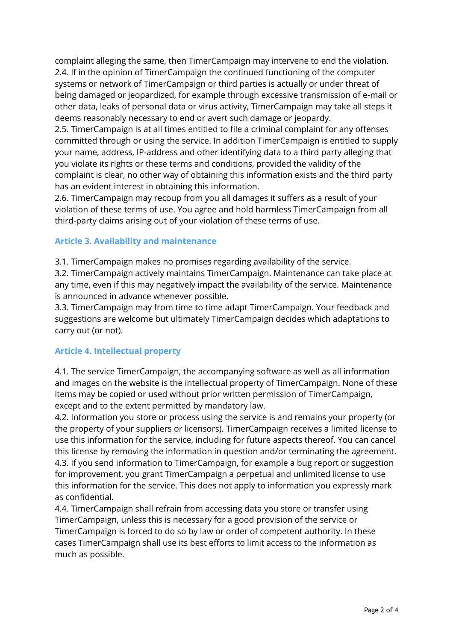complaint alleging the same, then TimerCampaign may intervene to end the violation. 2.4. If in the opinion of TimerCampaign the continued functioning of the computer systems or network of TimerCampaign or third parties is actually or under threat of being damaged or jeopardized, for example through excessive transmission of e-mail or other data, leaks of personal data or virus activity, TimerCampaign may take all steps it deems reasonably necessary to end or avert such damage or jeopardy.

2.5. TimerCampaign is at all times entitled to file a criminal complaint for any offenses committed through or using the service. In addition TimerCampaign is entitled to supply your name, address, IP-address and other identifying data to a third party alleging that you violate its rights or these terms and conditions, provided the validity of the complaint is clear, no other way of obtaining this information exists and the third party has an evident interest in obtaining this information.

2.6. TimerCampaign may recoup from you all damages it suffers as a result of your violation of these terms of use. You agree and hold harmless TimerCampaign from all third-party claims arising out of your violation of these terms of use.

## **Article 3. Availability and maintenance**

3.1. TimerCampaign makes no promises regarding availability of the service.

3.2. TimerCampaign actively maintains TimerCampaign. Maintenance can take place at any time, even if this may negatively impact the availability of the service. Maintenance is announced in advance whenever possible.

3.3. TimerCampaign may from time to time adapt TimerCampaign. Your feedback and suggestions are welcome but ultimately TimerCampaign decides which adaptations to carry out (or not).

## **Article 4. Intellectual property**

4.1. The service TimerCampaign, the accompanying software as well as all information and images on the website is the intellectual property of TimerCampaign. None of these items may be copied or used without prior written permission of TimerCampaign, except and to the extent permitted by mandatory law.

4.2. Information you store or process using the service is and remains your property (or the property of your suppliers or licensors). TimerCampaign receives a limited license to use this information for the service, including for future aspects thereof. You can cancel this license by removing the information in question and/or terminating the agreement. 4.3. If you send information to TimerCampaign, for example a bug report or suggestion for improvement, you grant TimerCampaign a perpetual and unlimited license to use this information for the service. This does not apply to information you expressly mark as confidential.

4.4. TimerCampaign shall refrain from accessing data you store or transfer using TimerCampaign, unless this is necessary for a good provision of the service or TimerCampaign is forced to do so by law or order of competent authority. In these cases TimerCampaign shall use its best efforts to limit access to the information as much as possible.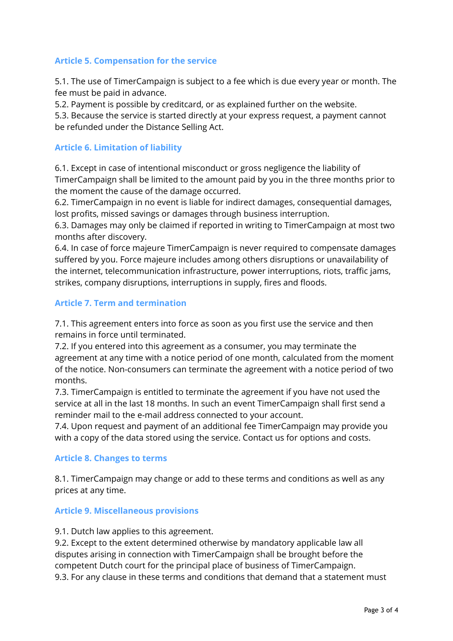## **Article 5. Compensation for the service**

5.1. The use of TimerCampaign is subject to a fee which is due every year or month. The fee must be paid in advance.

5.2. Payment is possible by creditcard, or as explained further on the website.

5.3. Because the service is started directly at your express request, a payment cannot be refunded under the Distance Selling Act.

#### **Article 6. Limitation of liability**

6.1. Except in case of intentional misconduct or gross negligence the liability of TimerCampaign shall be limited to the amount paid by you in the three months prior to the moment the cause of the damage occurred.

6.2. TimerCampaign in no event is liable for indirect damages, consequential damages, lost profits, missed savings or damages through business interruption.

6.3. Damages may only be claimed if reported in writing to TimerCampaign at most two months after discovery.

6.4. In case of force majeure TimerCampaign is never required to compensate damages suffered by you. Force majeure includes among others disruptions or unavailability of the internet, telecommunication infrastructure, power interruptions, riots, traffic jams, strikes, company disruptions, interruptions in supply, fires and floods.

#### **Article 7. Term and termination**

7.1. This agreement enters into force as soon as you first use the service and then remains in force until terminated.

7.2. If you entered into this agreement as a consumer, you may terminate the agreement at any time with a notice period of one month, calculated from the moment of the notice. Non-consumers can terminate the agreement with a notice period of two months.

7.3. TimerCampaign is entitled to terminate the agreement if you have not used the service at all in the last 18 months. In such an event TimerCampaign shall first send a reminder mail to the e-mail address connected to your account.

7.4. Upon request and payment of an additional fee TimerCampaign may provide you with a copy of the data stored using the service. Contact us for options and costs.

#### **Article 8. Changes to terms**

8.1. TimerCampaign may change or add to these terms and conditions as well as any prices at any time.

#### **Article 9. Miscellaneous provisions**

#### 9.1. Dutch law applies to this agreement.

9.2. Except to the extent determined otherwise by mandatory applicable law all disputes arising in connection with TimerCampaign shall be brought before the competent Dutch court for the principal place of business of TimerCampaign. 9.3. For any clause in these terms and conditions that demand that a statement must